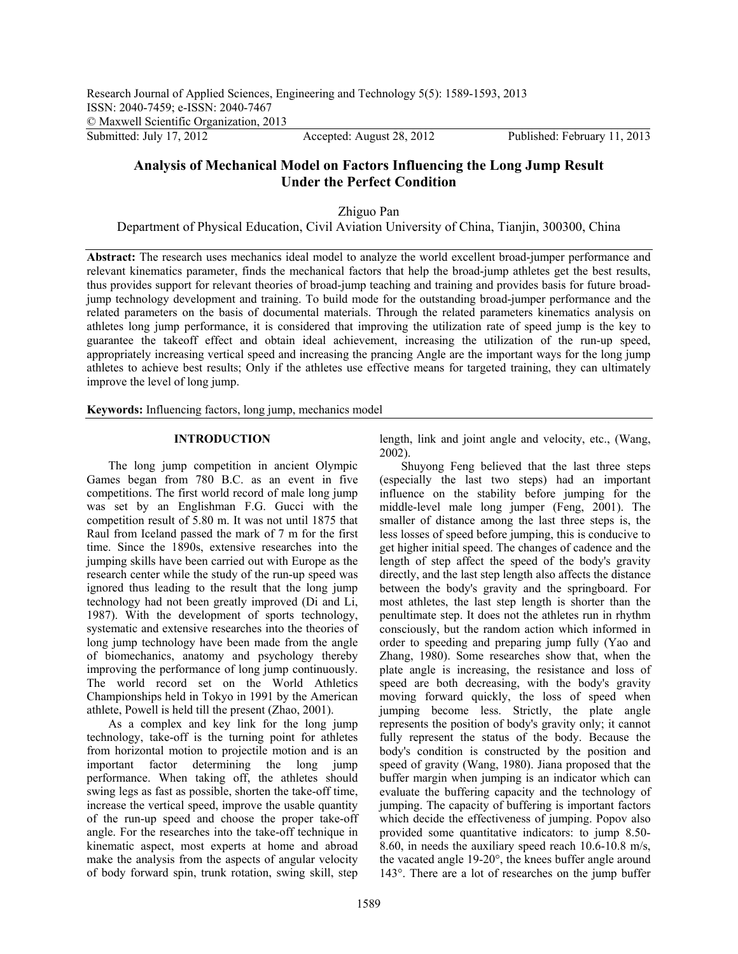# **Analysis of Mechanical Model on Factors Influencing the Long Jump Result Under the Perfect Condition**

Zhiguo Pan

Department of Physical Education, Civil Aviation University of China, Tianjin, 300300, China

**Abstract:** The research uses mechanics ideal model to analyze the world excellent broad-jumper performance and relevant kinematics parameter, finds the mechanical factors that help the broad-jump athletes get the best results, thus provides support for relevant theories of broad-jump teaching and training and provides basis for future broadjump technology development and training. To build mode for the outstanding broad-jumper performance and the related parameters on the basis of documental materials. Through the related parameters kinematics analysis on athletes long jump performance, it is considered that improving the utilization rate of speed jump is the key to guarantee the takeoff effect and obtain ideal achievement, increasing the utilization of the run-up speed, appropriately increasing vertical speed and increasing the prancing Angle are the important ways for the long jump athletes to achieve best results; Only if the athletes use effective means for targeted training, they can ultimately improve the level of long jump.

**Keywords:** Influencing factors, long jump, mechanics model

## **INTRODUCTION**

The long jump competition in ancient Olympic Games began from 780 B.C. as an event in five competitions. The first world record of male long jump was set by an Englishman F.G. Gucci with the competition result of 5.80 m. It was not until 1875 that Raul from Iceland passed the mark of 7 m for the first time. Since the 1890s, extensive researches into the jumping skills have been carried out with Europe as the research center while the study of the run-up speed was ignored thus leading to the result that the long jump technology had not been greatly improved (Di and Li, 1987). With the development of sports technology, systematic and extensive researches into the theories of long jump technology have been made from the angle of biomechanics, anatomy and psychology thereby improving the performance of long jump continuously. The world record set on the World Athletics Championships held in Tokyo in 1991 by the American athlete, Powell is held till the present (Zhao, 2001).

As a complex and key link for the long jump technology, take-off is the turning point for athletes from horizontal motion to projectile motion and is an important factor determining the long jump performance. When taking off, the athletes should swing legs as fast as possible, shorten the take-off time, increase the vertical speed, improve the usable quantity of the run-up speed and choose the proper take-off angle. For the researches into the take-off technique in kinematic aspect, most experts at home and abroad make the analysis from the aspects of angular velocity of body forward spin, trunk rotation, swing skill, step

length, link and joint angle and velocity, etc., (Wang, 2002).

Shuyong Feng believed that the last three steps (especially the last two steps) had an important influence on the stability before jumping for the middle-level male long jumper (Feng, 2001). The smaller of distance among the last three steps is, the less losses of speed before jumping, this is conducive to get higher initial speed. The changes of cadence and the length of step affect the speed of the body's gravity directly, and the last step length also affects the distance between the body's gravity and the springboard. For most athletes, the last step length is shorter than the penultimate step. It does not the athletes run in rhythm consciously, but the random action which informed in order to speeding and preparing jump fully (Yao and Zhang, 1980). Some researches show that, when the plate angle is increasing, the resistance and loss of speed are both decreasing, with the body's gravity moving forward quickly, the loss of speed when jumping become less. Strictly, the plate angle represents the position of body's gravity only; it cannot fully represent the status of the body. Because the body's condition is constructed by the position and speed of gravity (Wang, 1980). Jiana proposed that the buffer margin when jumping is an indicator which can evaluate the buffering capacity and the technology of jumping. The capacity of buffering is important factors which decide the effectiveness of jumping. Popov also provided some quantitative indicators: to jump 8.50- 8.60, in needs the auxiliary speed reach 10.6-10.8 m/s, the vacated angle 19-20°, the knees buffer angle around 143°. There are a lot of researches on the jump buffer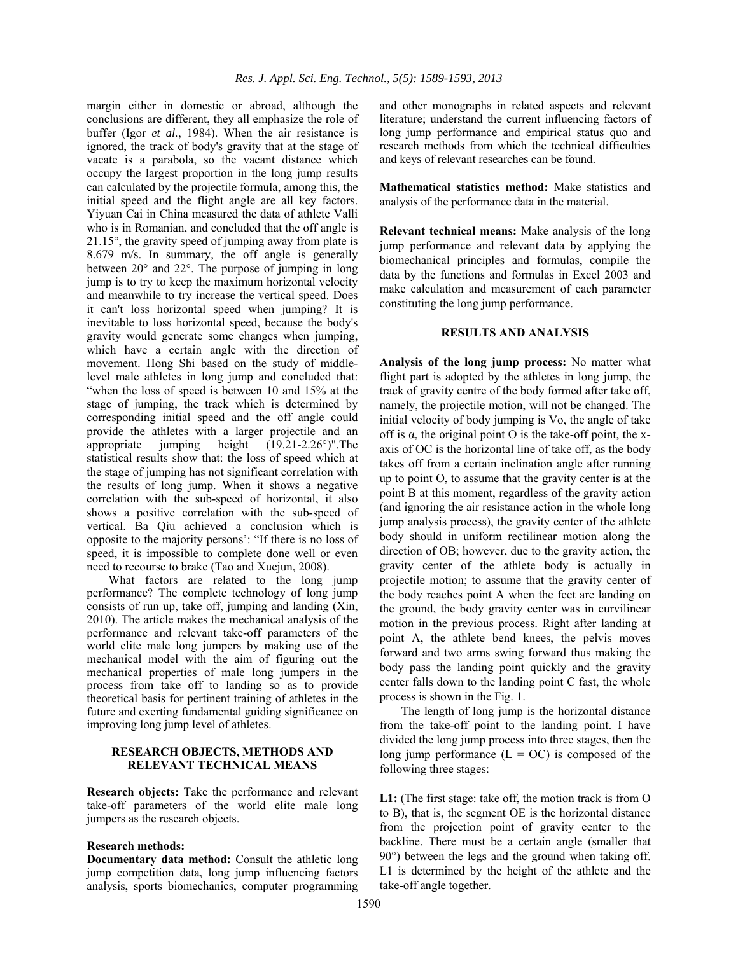margin either in domestic or abroad, although the conclusions are different, they all emphasize the role of buffer (Igor *et al.*, 1984). When the air resistance is ignored, the track of body's gravity that at the stage of vacate is a parabola, so the vacant distance which occupy the largest proportion in the long jump results can calculated by the projectile formula, among this, the initial speed and the flight angle are all key factors. Yiyuan Cai in China measured the data of athlete Valli who is in Romanian, and concluded that the off angle is 21.15°, the gravity speed of jumping away from plate is 8.679 m/s. In summary, the off angle is generally between 20° and 22°. The purpose of jumping in long jump is to try to keep the maximum horizontal velocity and meanwhile to try increase the vertical speed. Does it can't loss horizontal speed when jumping? It is inevitable to loss horizontal speed, because the body's gravity would generate some changes when jumping, which have a certain angle with the direction of movement. Hong Shi based on the study of middlelevel male athletes in long jump and concluded that: "when the loss of speed is between 10 and 15% at the stage of jumping, the track which is determined by corresponding initial speed and the off angle could provide the athletes with a larger projectile and an appropriate jumping height (19.21-2.26°)".The statistical results show that: the loss of speed which at the stage of jumping has not significant correlation with the results of long jump. When it shows a negative correlation with the sub-speed of horizontal, it also shows a positive correlation with the sub-speed of vertical. Ba Qiu achieved a conclusion which is opposite to the majority persons': "If there is no loss of speed, it is impossible to complete done well or even need to recourse to brake (Tao and Xuejun, 2008).

What factors are related to the long jump performance? The complete technology of long jump consists of run up, take off, jumping and landing (Xin, 2010). The article makes the mechanical analysis of the performance and relevant take-off parameters of the world elite male long jumpers by making use of the mechanical model with the aim of figuring out the mechanical properties of male long jumpers in the process from take off to landing so as to provide theoretical basis for pertinent training of athletes in the future and exerting fundamental guiding significance on improving long jump level of athletes.

#### **RESEARCH OBJECTS, METHODS AND RELEVANT TECHNICAL MEANS**

**Research objects:** Take the performance and relevant take-off parameters of the world elite male long jumpers as the research objects.

#### **Research methods:**

**Documentary data method:** Consult the athletic long jump competition data, long jump influencing factors analysis, sports biomechanics, computer programming

and other monographs in related aspects and relevant literature; understand the current influencing factors of long jump performance and empirical status quo and research methods from which the technical difficulties and keys of relevant researches can be found.

**Mathematical statistics method:** Make statistics and analysis of the performance data in the material.

**Relevant technical means:** Make analysis of the long jump performance and relevant data by applying the biomechanical principles and formulas, compile the data by the functions and formulas in Excel 2003 and make calculation and measurement of each parameter constituting the long jump performance.

#### **RESULTS AND ANALYSIS**

**Analysis of the long jump process:** No matter what flight part is adopted by the athletes in long jump, the track of gravity centre of the body formed after take off, namely, the projectile motion, will not be changed. The initial velocity of body jumping is Vo, the angle of take off is  $\alpha$ , the original point O is the take-off point, the xaxis of OC is the horizontal line of take off, as the body takes off from a certain inclination angle after running up to point O, to assume that the gravity center is at the point B at this moment, regardless of the gravity action (and ignoring the air resistance action in the whole long jump analysis process), the gravity center of the athlete body should in uniform rectilinear motion along the direction of OB; however, due to the gravity action, the gravity center of the athlete body is actually in projectile motion; to assume that the gravity center of the body reaches point A when the feet are landing on the ground, the body gravity center was in curvilinear motion in the previous process. Right after landing at point A, the athlete bend knees, the pelvis moves forward and two arms swing forward thus making the body pass the landing point quickly and the gravity center falls down to the landing point C fast, the whole process is shown in the Fig. 1.

The length of long jump is the horizontal distance from the take-off point to the landing point. I have divided the long jump process into three stages, then the long jump performance  $(L = OC)$  is composed of the following three stages:

**L1:** (The first stage: take off, the motion track is from O to B), that is, the segment OE is the horizontal distance from the projection point of gravity center to the backline. There must be a certain angle (smaller that 90°) between the legs and the ground when taking off. L1 is determined by the height of the athlete and the take-off angle together.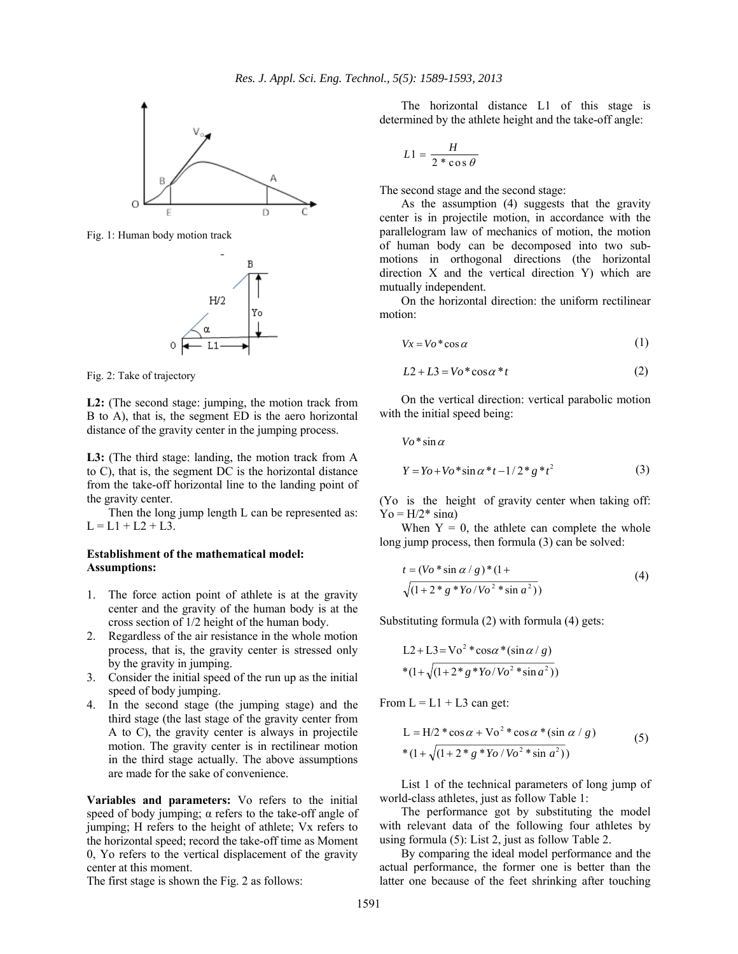

Fig. 1: Human body motion track



Fig. 2: Take of trajectory

**L2:** (The second stage: jumping, the motion track from B to A), that is, the segment ED is the aero horizontal distance of the gravity center in the jumping process.

**L3:** (The third stage: landing, the motion track from A to C), that is, the segment DC is the horizontal distance from the take-off horizontal line to the landing point of the gravity center.

Then the long jump length L can be represented as:  $L = L1 + L2 + L3$ .

## **Establishment of the mathematical model: Assumptions:**

- 1. The force action point of athlete is at the gravity center and the gravity of the human body is at the cross section of 1/2 height of the human body.
- 2. Regardless of the air resistance in the whole motion process, that is, the gravity center is stressed only by the gravity in jumping.
- 3. Consider the initial speed of the run up as the initial speed of body jumping.
- 4. In the second stage (the jumping stage) and the third stage (the last stage of the gravity center from A to C), the gravity center is always in projectile motion. The gravity center is in rectilinear motion in the third stage actually. The above assumptions are made for the sake of convenience.

**Variables and parameters:** Vo refers to the initial speed of body jumping;  $\alpha$  refers to the take-off angle of jumping; H refers to the height of athlete; Vx refers to the horizontal speed; record the take-off time as Moment 0, Yo refers to the vertical displacement of the gravity center at this moment.

The first stage is shown the Fig. 2 as follows:

The horizontal distance L1 of this stage is determined by the athlete height and the take-off angle:

$$
L1 = \frac{H}{2 * \cos \theta}
$$

The second stage and the second stage:

As the assumption (4) suggests that the gravity center is in projectile motion, in accordance with the parallelogram law of mechanics of motion, the motion of human body can be decomposed into two submotions in orthogonal directions (the horizontal direction X and the vertical direction Y) which are mutually independent.

On the horizontal direction: the uniform rectilinear motion:

$$
Vx = Vo^* \cos \alpha \tag{1}
$$

$$
L2 + L3 = Vo^* \cos \alpha * t \tag{2}
$$

On the vertical direction: vertical parabolic motion with the initial speed being:

$$
Vo^* \sin \alpha
$$
  
 
$$
Y = Yo + Vo^* \sin \alpha^* t - 1/2^* g^* t^2
$$
 (3)

(Yo is the height of gravity center when taking off:  $\text{Yo} = \text{H}/2^* \text{sin}\alpha)$ 

When  $Y = 0$ , the athlete can complete the whole long jump process, then formula (3) can be solved:

$$
t = (Vo * \sin \alpha / g) * (1 + \sqrt{(1 + 2 * g * Y_0 / V_0^2 * \sin \alpha^2)})
$$
\n(4)

Substituting formula (2) with formula (4) gets:

$$
L2 + L3 = Vo2 * cos \alpha * (sin \alpha / g)
$$
  
\*  $(1 + \sqrt{(1 + 2 * g * Y_0/V_0^2 * sin a^2)})$ 

From  $L = L1 + L3$  can get:

$$
L = H/2 * cos \alpha + Vo2 * cos \alpha * (sin \alpha / g)
$$
  
\n
$$
*(1 + \sqrt{(1 + 2 * g * Yo / Vo2 * sin a2)})
$$
\n(5)

List 1 of the technical parameters of long jump of world-class athletes, just as follow Table 1:

The performance got by substituting the model with relevant data of the following four athletes by using formula (5): List 2, just as follow Table 2.

By comparing the ideal model performance and the actual performance, the former one is better than the latter one because of the feet shrinking after touching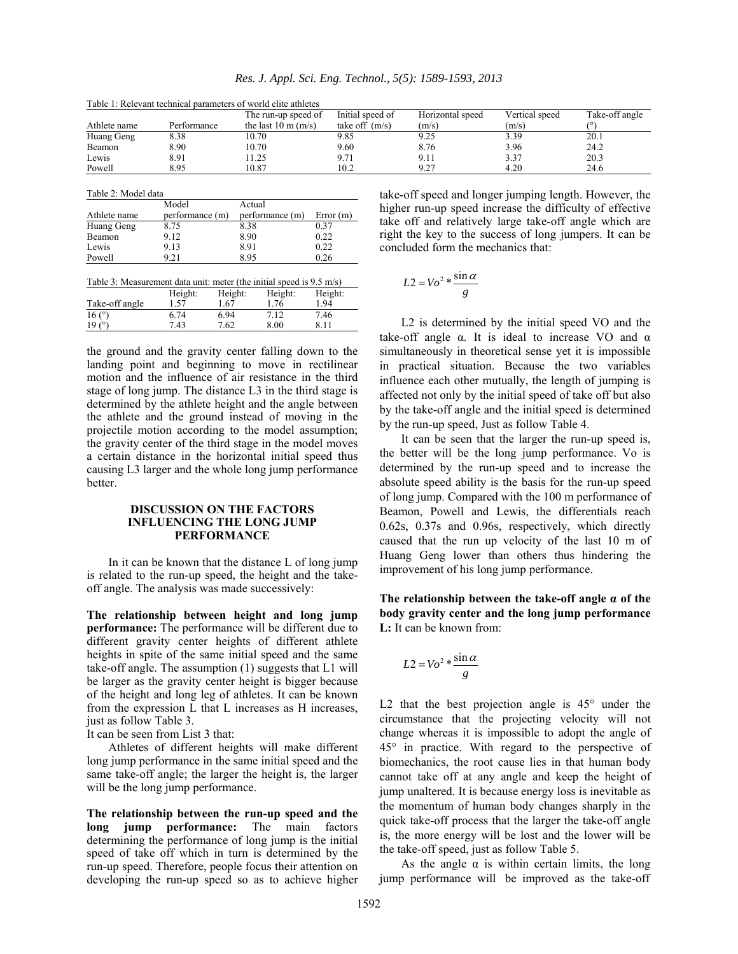|              |             | The run-up speed of           | Initial speed of | Horizontal speed | Vertical speed | Take-off angle |
|--------------|-------------|-------------------------------|------------------|------------------|----------------|----------------|
| Athlete name | Performance | the last $10 \text{ m}$ (m/s) | take off $(m/s)$ | (m/s)            | (m/s)          |                |
| Huang Geng   | 8.38        | 10.70                         | 9.85             | 9.25             | 3.39           | 20.1           |
| Beamon       | 8.90        | 10.70                         | 9.60             | 8.76             | 3.96           | 24.2           |
| Lewis        | 8.91        | 1.25                          | 9.71             | 7. I I           | 3.37           | 20.3           |
| Powell       | 8.95        | 10.87                         | 10.2             | 0.27             | 4.20           | 24.6           |

Table 1: Relevant technical parameters of world elite athletes

Table 2: Model data

|              | Model           | Actual          |          |
|--------------|-----------------|-----------------|----------|
| Athlete name | performance (m) | performance (m) | Error(m) |
| Huang Geng   | 8.75            | 8.38            | 0.37     |
| Beamon       | 9.12            | 8.90            | 0.22     |
| Lewis        | 9.13            | 8.91            | 0.22     |
| Powell       | 9.21            | 895             | 0.26     |

| Table 3: Measurement data unit: meter (the initial speed is 9.5 m/s) |         |         |         |         |
|----------------------------------------------------------------------|---------|---------|---------|---------|
|                                                                      | Height: | Height: | Height: | Height: |
| Take-off angle                                                       | 1.57    | L 67    | 1.76    | 1.94    |
| 16 $(°)$                                                             | 6.74    | 6.94    | 712     | 7.46    |
| $19(^\circ$                                                          | 7.43    | 7.62    | 8.00    | 8 1 1   |

the ground and the gravity center falling down to the landing point and beginning to move in rectilinear motion and the influence of air resistance in the third stage of long jump. The distance L3 in the third stage is determined by the athlete height and the angle between the athlete and the ground instead of moving in the projectile motion according to the model assumption; the gravity center of the third stage in the model moves a certain distance in the horizontal initial speed thus causing L3 larger and the whole long jump performance better.

## **DISCUSSION ON THE FACTORS INFLUENCING THE LONG JUMP PERFORMANCE**

In it can be known that the distance L of long jump is related to the run-up speed, the height and the takeoff angle. The analysis was made successively:

**The relationship between height and long jump performance:** The performance will be different due to different gravity center heights of different athlete heights in spite of the same initial speed and the same take-off angle. The assumption (1) suggests that L1 will be larger as the gravity center height is bigger because of the height and long leg of athletes. It can be known from the expression L that L increases as H increases, just as follow Table 3.

It can be seen from List 3 that:

Athletes of different heights will make different long jump performance in the same initial speed and the same take-off angle; the larger the height is, the larger will be the long jump performance.

**The relationship between the run-up speed and the long jump performance:** The main factors determining the performance of long jump is the initial speed of take off which in turn is determined by the run-up speed. Therefore, people focus their attention on developing the run-up speed so as to achieve higher take-off speed and longer jumping length. However, the higher run-up speed increase the difficulty of effective take off and relatively large take-off angle which are right the key to the success of long jumpers. It can be concluded form the mechanics that:

$$
L2 = Vo^2 * \frac{\sin \alpha}{g}
$$

L2 is determined by the initial speed VO and the take-off angle  $\alpha$ . It is ideal to increase VO and  $\alpha$ simultaneously in theoretical sense yet it is impossible in practical situation. Because the two variables influence each other mutually, the length of jumping is affected not only by the initial speed of take off but also by the take-off angle and the initial speed is determined by the run-up speed, Just as follow Table 4.

It can be seen that the larger the run-up speed is, the better will be the long jump performance. Vo is determined by the run-up speed and to increase the absolute speed ability is the basis for the run-up speed of long jump. Compared with the 100 m performance of Beamon, Powell and Lewis, the differentials reach 0.62s, 0.37s and 0.96s, respectively, which directly caused that the run up velocity of the last 10 m of Huang Geng lower than others thus hindering the improvement of his long jump performance.

**The relationship between the take-off angle α of the body gravity center and the long jump performance L:** It can be known from:

$$
L2 = Vo^2 * \frac{\sin \alpha}{g}
$$

L2 that the best projection angle is  $45^{\circ}$  under the circumstance that the projecting velocity will not change whereas it is impossible to adopt the angle of 45° in practice. With regard to the perspective of biomechanics, the root cause lies in that human body cannot take off at any angle and keep the height of jump unaltered. It is because energy loss is inevitable as the momentum of human body changes sharply in the quick take-off process that the larger the take-off angle is, the more energy will be lost and the lower will be the take-off speed, just as follow Table 5.

As the angle  $\alpha$  is within certain limits, the long jump performance will be improved as the take-off